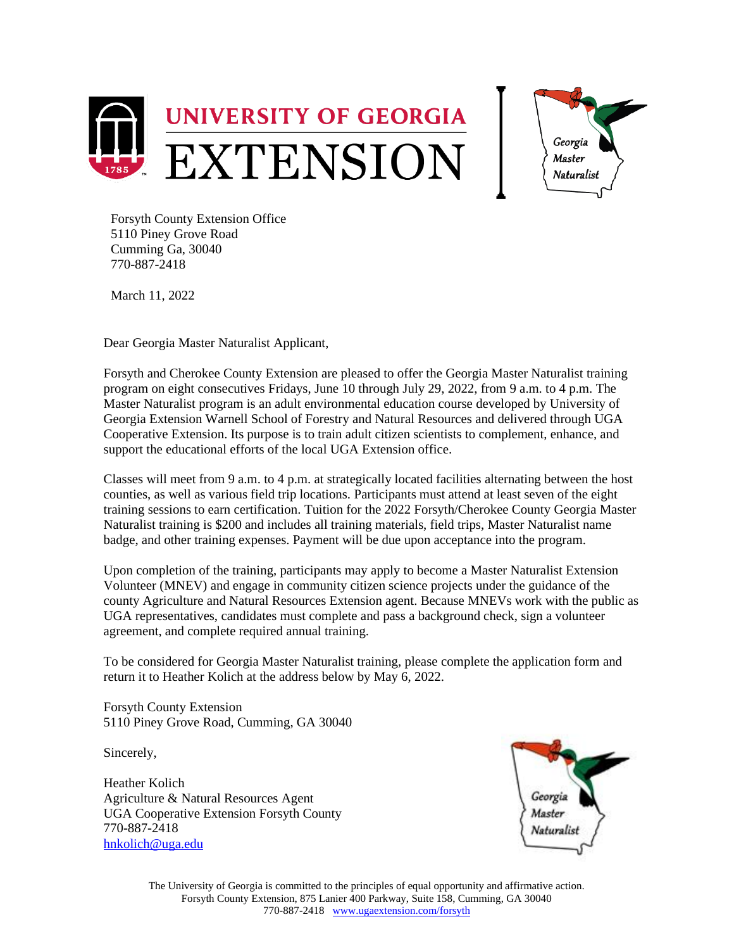



Forsyth County Extension Office 5110 Piney Grove Road Cumming Ga, 30040 770-887-2418

March 11, 2022

Dear Georgia Master Naturalist Applicant,

Forsyth and Cherokee County Extension are pleased to offer the Georgia Master Naturalist training program on eight consecutives Fridays, June 10 through July 29, 2022, from 9 a.m. to 4 p.m. The Master Naturalist program is an adult environmental education course developed by University of Georgia Extension Warnell School of Forestry and Natural Resources and delivered through UGA Cooperative Extension. Its purpose is to train adult citizen scientists to complement, enhance, and support the educational efforts of the local UGA Extension office.

Classes will meet from 9 a.m. to 4 p.m. at strategically located facilities alternating between the host counties, as well as various field trip locations. Participants must attend at least seven of the eight training sessions to earn certification. Tuition for the 2022 Forsyth/Cherokee County Georgia Master Naturalist training is \$200 and includes all training materials, field trips, Master Naturalist name badge, and other training expenses. Payment will be due upon acceptance into the program.

Upon completion of the training, participants may apply to become a Master Naturalist Extension Volunteer (MNEV) and engage in community citizen science projects under the guidance of the county Agriculture and Natural Resources Extension agent. Because MNEVs work with the public as UGA representatives, candidates must complete and pass a background check, sign a volunteer agreement, and complete required annual training.

To be considered for Georgia Master Naturalist training, please complete the application form and return it to Heather Kolich at the address below by May 6, 2022.

Forsyth County Extension 5110 Piney Grove Road, Cumming, GA 30040

Sincerely,

Heather Kolich Agriculture & Natural Resources Agent UGA Cooperative Extension Forsyth County 770-887-2418 [hnkolich@uga.edu](mailto:hnkolich@uga.edu)

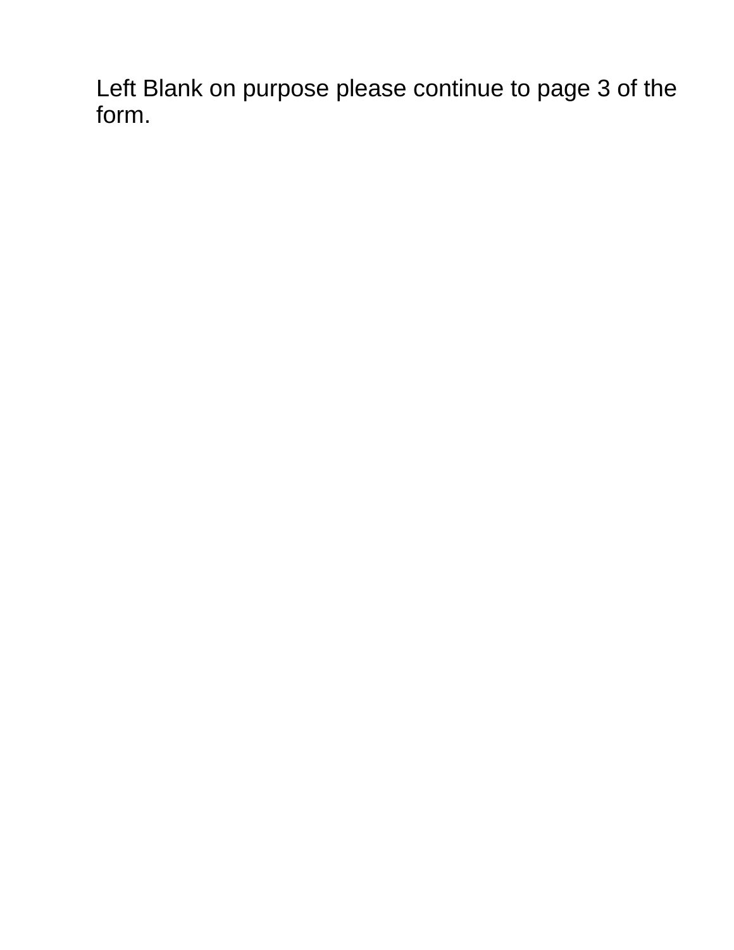Left Blank on purpose please continue to page 3 of the form.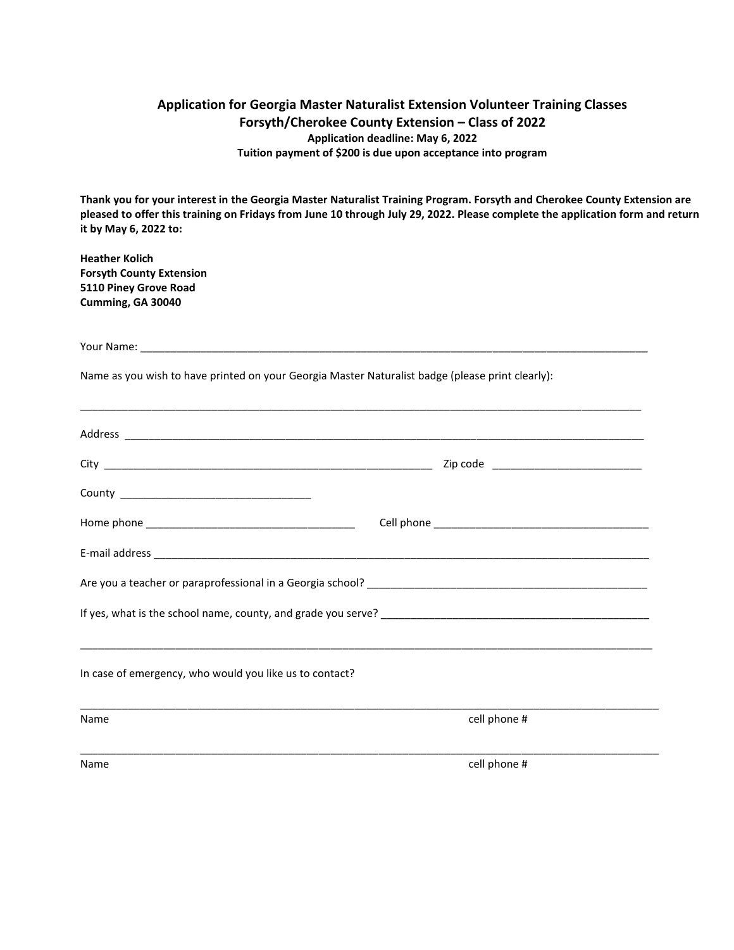## **Application for Georgia Master Naturalist Extension Volunteer Training Classes Forsyth/Cherokee County Extension – Class of 2022 Application deadline: May 6, 2022 Tuition payment of \$200 is due upon acceptance into program**

**Thank you for your interest in the Georgia Master Naturalist Training Program. Forsyth and Cherokee County Extension are pleased to offer this training on Fridays from June 10 through July 29, 2022. Please complete the application form and return it by May 6, 2022 to:** 

**Heather Kolich Forsyth County Extension 5110 Piney Grove Road Cumming, GA 30040**

Your Name:

Name as you wish to have printed on your Georgia Master Naturalist badge (please print clearly):

|                                                         | Zip code _________________________________ |
|---------------------------------------------------------|--------------------------------------------|
|                                                         |                                            |
|                                                         |                                            |
|                                                         |                                            |
|                                                         |                                            |
|                                                         |                                            |
|                                                         |                                            |
| In case of emergency, who would you like us to contact? |                                            |
| Name                                                    | cell phone #                               |
|                                                         |                                            |
| Name                                                    | cell phone #                               |